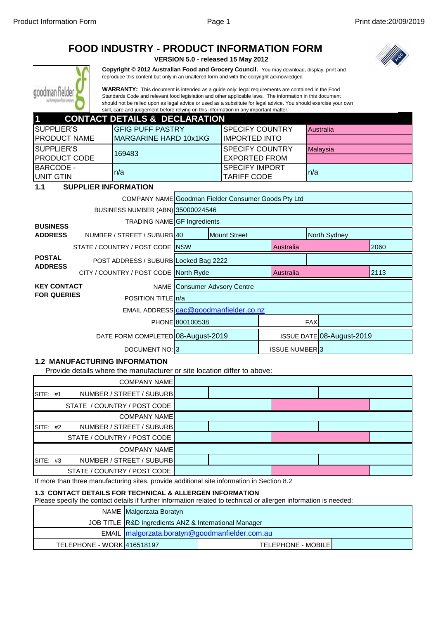|                                                                                                                                                                                                                                                                                                                                                                                                                                   |                                                                                                                                                                                        | <b>FOOD INDUSTRY - PRODUCT INFORMATION FORM</b>                                                                  |                                        | VERSION 5.0 - released 15 May 2012          |                           |     |                  |      |
|-----------------------------------------------------------------------------------------------------------------------------------------------------------------------------------------------------------------------------------------------------------------------------------------------------------------------------------------------------------------------------------------------------------------------------------|----------------------------------------------------------------------------------------------------------------------------------------------------------------------------------------|------------------------------------------------------------------------------------------------------------------|----------------------------------------|---------------------------------------------|---------------------------|-----|------------------|------|
|                                                                                                                                                                                                                                                                                                                                                                                                                                   | Copyright @ 2012 Australian Food and Grocery Council. You may download, display, print and<br>reproduce this content but only in an unaltered form and with the copyright acknowledged |                                                                                                                  |                                        |                                             |                           |     |                  |      |
| <b>WARRANTY:</b> This document is intended as a guide only: legal requirements are contained in the Food<br>Standards Code and relevant food legislation and other applicable laws. The information in this document<br>should not be relied upon as legal advice or used as a substitute for legal advice. You should exercise your own<br>skill, care and judgement before relying on this information in any important matter. |                                                                                                                                                                                        |                                                                                                                  |                                        |                                             |                           |     |                  |      |
| 1                                                                                                                                                                                                                                                                                                                                                                                                                                 |                                                                                                                                                                                        | <b>CONTACT DETAILS &amp; DECLARATION</b>                                                                         |                                        |                                             |                           |     |                  |      |
| <b>SUPPLIER'S</b>                                                                                                                                                                                                                                                                                                                                                                                                                 |                                                                                                                                                                                        | <b>GFIG PUFF PASTRY</b>                                                                                          |                                        | <b>SPECIFY COUNTRY</b>                      |                           |     | <b>Australia</b> |      |
| PRODUCT NAME                                                                                                                                                                                                                                                                                                                                                                                                                      |                                                                                                                                                                                        | <b>MARGARINE HARD 10x1KG</b>                                                                                     |                                        | <b>IMPORTED INTO</b>                        |                           |     |                  |      |
| <b>SUPPLIER'S</b>                                                                                                                                                                                                                                                                                                                                                                                                                 |                                                                                                                                                                                        | 169483                                                                                                           |                                        | <b>SPECIFY COUNTRY</b>                      |                           |     | Malaysia         |      |
| PRODUCT CODE                                                                                                                                                                                                                                                                                                                                                                                                                      |                                                                                                                                                                                        |                                                                                                                  |                                        | <b>EXPORTED FROM</b>                        |                           |     |                  |      |
| <b>BARCODE -</b><br><b>UNIT GTIN</b>                                                                                                                                                                                                                                                                                                                                                                                              |                                                                                                                                                                                        | n/a                                                                                                              |                                        | <b>SPECIFY IMPORT</b><br><b>TARIFF CODE</b> |                           | n/a |                  |      |
| 1.1                                                                                                                                                                                                                                                                                                                                                                                                                               |                                                                                                                                                                                        | <b>SUPPLIER INFORMATION</b>                                                                                      |                                        |                                             |                           |     |                  |      |
|                                                                                                                                                                                                                                                                                                                                                                                                                                   |                                                                                                                                                                                        | COMPANY NAME Goodman Fielder Consumer Goods Pty Ltd                                                              |                                        |                                             |                           |     |                  |      |
|                                                                                                                                                                                                                                                                                                                                                                                                                                   |                                                                                                                                                                                        | BUSINESS NUMBER (ABN) 35000024546                                                                                |                                        |                                             |                           |     |                  |      |
|                                                                                                                                                                                                                                                                                                                                                                                                                                   |                                                                                                                                                                                        | <b>TRADING NAME GF Ingredients</b>                                                                               |                                        |                                             |                           |     |                  |      |
| <b>BUSINESS</b><br><b>ADDRESS</b>                                                                                                                                                                                                                                                                                                                                                                                                 |                                                                                                                                                                                        | NUMBER / STREET / SUBURB 40                                                                                      |                                        | <b>Mount Street</b>                         |                           |     | North Sydney     |      |
|                                                                                                                                                                                                                                                                                                                                                                                                                                   | STATE / COUNTRY / POST CODE NSW                                                                                                                                                        |                                                                                                                  |                                        |                                             | <b>Australia</b>          |     |                  | 2060 |
| <b>POSTAL</b>                                                                                                                                                                                                                                                                                                                                                                                                                     | POST ADDRESS / SUBURB Locked Bag 2222                                                                                                                                                  |                                                                                                                  |                                        |                                             |                           |     |                  |      |
| <b>ADDRESS</b>                                                                                                                                                                                                                                                                                                                                                                                                                    | CITY / COUNTRY / POST CODE North Ryde                                                                                                                                                  |                                                                                                                  |                                        |                                             | Australia                 |     |                  | 2113 |
| <b>KEY CONTACT</b>                                                                                                                                                                                                                                                                                                                                                                                                                |                                                                                                                                                                                        |                                                                                                                  | <b>NAME</b> Consumer Advsory Centre    |                                             |                           |     |                  |      |
| <b>FOR QUERIES</b>                                                                                                                                                                                                                                                                                                                                                                                                                |                                                                                                                                                                                        | POSITION TITLE n/a                                                                                               |                                        |                                             |                           |     |                  |      |
|                                                                                                                                                                                                                                                                                                                                                                                                                                   |                                                                                                                                                                                        |                                                                                                                  | EMAIL ADDRESS cac@goodmanfielder.co.nz |                                             |                           |     |                  |      |
|                                                                                                                                                                                                                                                                                                                                                                                                                                   |                                                                                                                                                                                        | PHONE 800100538                                                                                                  |                                        |                                             | <b>FAX</b>                |     |                  |      |
| DATE FORM COMPLETED 08-August-2019                                                                                                                                                                                                                                                                                                                                                                                                |                                                                                                                                                                                        |                                                                                                                  |                                        |                                             | ISSUE DATE 08-August-2019 |     |                  |      |
| DOCUMENT NO: 3                                                                                                                                                                                                                                                                                                                                                                                                                    |                                                                                                                                                                                        |                                                                                                                  |                                        |                                             | <b>ISSUE NUMBER3</b>      |     |                  |      |
|                                                                                                                                                                                                                                                                                                                                                                                                                                   |                                                                                                                                                                                        | <b>1.2 MANUFACTURING INFORMATION</b><br>Provide details where the manufacturer or site location differ to above: |                                        |                                             |                           |     |                  |      |

Provide details where the manufacturer or site location differ to above:

| <b>COMPANY NAMEL</b>                  |  |
|---------------------------------------|--|
| NUMBER / STREET / SUBURB<br>SITE: #1  |  |
| STATE / COUNTRY / POST CODE           |  |
| <b>COMPANY NAMEL</b>                  |  |
| NUMBER / STREET / SUBURB<br>SITE: #2  |  |
| STATE / COUNTRY / POST CODE           |  |
| <b>COMPANY NAME</b>                   |  |
| NUMBER / STREET / SUBURBI<br>SITE: #3 |  |
| STATE / COUNTRY / POST CODE           |  |

If more than three manufacturing sites, provide additional site information in Section 8.2

#### **1.3 CONTACT DETAILS FOR TECHNICAL & ALLERGEN INFORMATION**

Please specify the contact details if further information related to technical or allergen information is needed:

|                            | NAME Malgorzata Boratyn                               |                            |  |  |
|----------------------------|-------------------------------------------------------|----------------------------|--|--|
|                            | JOB TITLE R&D Ingredients ANZ & International Manager |                            |  |  |
|                            | EMAIL malgorzata.boratyn@goodmanfielder.com.au        |                            |  |  |
| TELEPHONE - WORK 416518197 |                                                       | <b>TELEPHONE - MOBILEI</b> |  |  |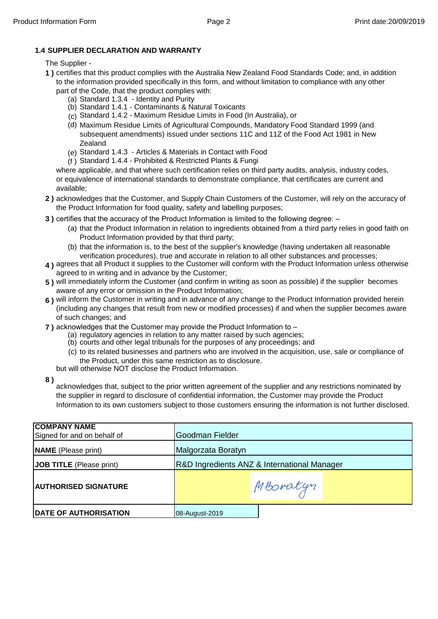#### **1.4 SUPPLIER DECLARATION AND WARRANTY**

#### The Supplier -

- **1 )** certifies that this product complies with the Australia New Zealand Food Standards Code; and, in addition to the information provided specifically in this form, and without limitation to compliance with any other
	- (a) Standard 1.3.4 Identity and Purity part of the Code, that the product complies with:
		- (b) Standard 1.4.1 Contaminants & Natural Toxicants
		- (c) Standard 1.4.2 Maximum Residue Limits in Food (In Australia), or
		- (d) Maximum Residue Limits of Agricultural Compounds, Mandatory Food Standard 1999 (and subsequent amendments) issued under sections 11C and 11Z of the Food Act 1981 in New Zealand
		- (e) Standard 1.4.3 Articles & Materials in Contact with Food
		- (f ) Standard 1.4.4 Prohibited & Restricted Plants & Fungi

where applicable, and that where such certification relies on third party audits, analysis, industry codes, or equivalence of international standards to demonstrate compliance, that certificates are current and available;

- **2 )** acknowledges that the Customer, and Supply Chain Customers of the Customer, will rely on the accuracy of the Product Information for food quality, safety and labelling purposes;
- **3)** certifies that the accuracy of the Product Information is limited to the following degree:  $-$ 
	- (a) that the Product Information in relation to ingredients obtained from a third party relies in good faith on Product Information provided by that third party;
	- (b) that the information is, to the best of the supplier's knowledge (having undertaken all reasonable verification procedures), true and accurate in relation to all other substances and processes;
- **4 )** agrees that all Product it supplies to the Customer will conform with the Product Information unless otherwise agreed to in writing and in advance by the Customer;
- **5 )** will immediately inform the Customer (and confirm in writing as soon as possible) if the supplier becomes aware of any error or omission in the Product Information;
- **6 )** will inform the Customer in writing and in advance of any change to the Product Information provided herein (including any changes that result from new or modified processes) if and when the supplier becomes aware of such changes; and
- **7 )** acknowledges that the Customer may provide the Product Information to
	- (a) regulatory agencies in relation to any matter raised by such agencies;
	- (b) courts and other legal tribunals for the purposes of any proceedings; and
	- (c) to its related businesses and partners who are involved in the acquisition, use, sale or compliance of the Product, under this same restriction as to disclosure.
	- but will otherwise NOT disclose the Product Information.
- **8 )**

acknowledges that, subject to the prior written agreement of the supplier and any restrictions nominated by the supplier in regard to disclosure of confidential information, the Customer may provide the Product Information to its own customers subject to those customers ensuring the information is not further disclosed.

| <b>COMPANY NAME</b><br>Signed for and on behalf of | Goodman Fielder                             |  |  |
|----------------------------------------------------|---------------------------------------------|--|--|
| <b>NAME</b> (Please print)                         | Malgorzata Boratyn                          |  |  |
| JOB TITLE (Please print)                           | R&D Ingredients ANZ & International Manager |  |  |
| <b>AUTHORISED SIGNATURE</b>                        | MBoratyn                                    |  |  |
| <b>DATE OF AUTHORISATION</b>                       | 08-August-2019                              |  |  |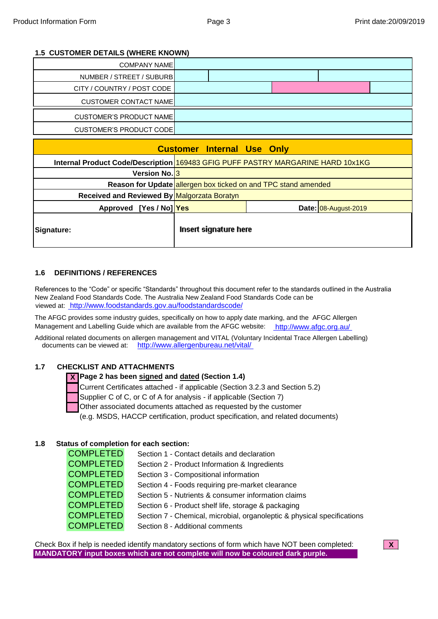#### **1.5 CUSTOMER DETAILS (WHERE KNOWN)**

| <b>COMPANY NAME</b>                                                             |                                   |                                                                |                      |
|---------------------------------------------------------------------------------|-----------------------------------|----------------------------------------------------------------|----------------------|
| NUMBER / STREET / SUBURB                                                        |                                   |                                                                |                      |
| CITY / COUNTRY / POST CODE                                                      |                                   |                                                                |                      |
| <b>CUSTOMER CONTACT NAME</b>                                                    |                                   |                                                                |                      |
| <b>CUSTOMER'S PRODUCT NAME</b>                                                  |                                   |                                                                |                      |
| <b>CUSTOMER'S PRODUCT CODE</b>                                                  |                                   |                                                                |                      |
|                                                                                 | <b>Customer Internal Use Only</b> |                                                                |                      |
|                                                                                 |                                   |                                                                |                      |
| Internal Product Code/Description 169483 GFIG PUFF PASTRY MARGARINE HARD 10x1KG |                                   |                                                                |                      |
| Version No. <sup>3</sup>                                                        |                                   |                                                                |                      |
|                                                                                 |                                   | Reason for Update allergen box ticked on and TPC stand amended |                      |
| Received and Reviewed By Malgorzata Boratyn                                     |                                   |                                                                |                      |
| Approved [Yes / No] Yes                                                         |                                   |                                                                | Date: 08-August-2019 |

#### **1.6 DEFINITIONS / REFERENCES**

References to the "Code" or specific "Standards" throughout this document refer to the standards outlined in the Australia New Zealand Food Standards Code. The Australia New Zealand Food Standards Code can be viewed at: [htt](http://www.foodstandards.gov.au/foodstandardscode/)p://www.foodstandards.gov.au/foodstandardscode/

Management and Labelling Guide which are available from the AFGC website: [htt](http://www.afgc.org.au/)p://www.afgc.org.au/ The AFGC provides some industry guides, specifically on how to apply date marking, and the AFGC Allergen

documents can be viewed at: [http](http://www.allergenbureau.net/vital/)://www.allergenbureau.net/vital/ Additional related documents on allergen management and VITAL (Voluntary Incidental Trace Allergen Labelling)

#### **1.7 CHECKLIST AND ATTACHMENTS**

#### **X Page 2 has been signed and dated (Section 1.4)**

Current Certificates attached - if applicable (Section 3.2.3 and Section 5.2)

Supplier C of C, or C of A for analysis - if applicable (Section 7)

Other associated documents attached as requested by the customer

(e.g. MSDS, HACCP certification, product specification, and related documents)

#### **1.8 Status of completion for each section:**

| <b>COMPLETED</b> | Section 1 - Contact details and declaration                             |
|------------------|-------------------------------------------------------------------------|
| <b>COMPLETED</b> | Section 2 - Product Information & Ingredients                           |
| <b>COMPLETED</b> | Section 3 - Compositional information                                   |
| <b>COMPLETED</b> | Section 4 - Foods requiring pre-market clearance                        |
| <b>COMPLETED</b> | Section 5 - Nutrients & consumer information claims                     |
| <b>COMPLETED</b> | Section 6 - Product shelf life, storage & packaging                     |
| <b>COMPLETED</b> | Section 7 - Chemical, microbial, organoleptic & physical specifications |
| <b>COMPLETED</b> | Section 8 - Additional comments                                         |

Check Box if help is needed identify mandatory sections of form which have NOT been completed: **X MANDATORY input boxes which are not complete will now be coloured dark purple.**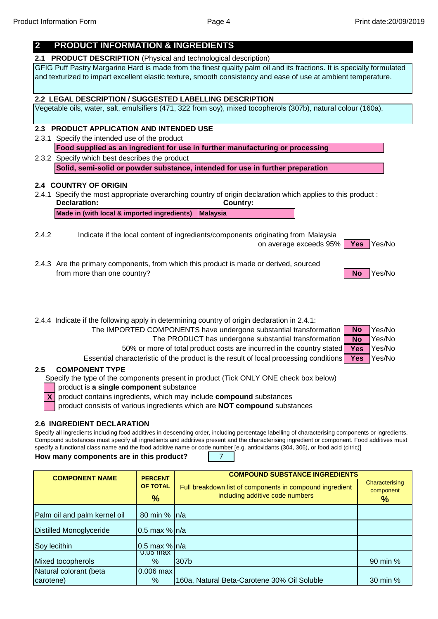## **2 PRODUCT INFORMATION & INGREDIENTS**

**2.1 PRODUCT DESCRIPTION** (Physical and technological description)

GFIG Puff Pastry Margarine Hard is made from the finest quality palm oil and its fractions. It is specially formulated and texturized to impart excellent elastic texture, smooth consistency and ease of use at ambient temperature.

#### **2.2 LEGAL DESCRIPTION / SUGGESTED LABELLING DESCRIPTION**

Vegetable oils, water, salt, emulsifiers (471, 322 from soy), mixed tocopherols (307b), natural colour (160a).

#### **2.3 PRODUCT APPLICATION AND INTENDED USE**

2.3.1 Specify the intended use of the product

**Food supplied as an ingredient for use in further manufacturing or processing**

2.3.2 Specify which best describes the product **Solid, semi-solid or powder substance, intended for use in further preparation**

#### **2.4 COUNTRY OF ORIGIN**

- 2.4.1 Specify the most appropriate overarching country of origin declaration which applies to this product : **Declaration: Country: Made in (with local & imported ingredients) Malaysia**
- 2.4.2 Indicate if the local content of ingredients/components originating from Malaysia

on average exceeds 95% | Yes Yes/No **Yes**

2.4.3 Are the primary components, from which this product is made or derived, sourced from more than one country? The state of the state of the state of the state of the state of the SNo Yes/No. Yes/No



**No**

**No Yes**

**Yes**

2.4.4 Indicate if the following apply in determining country of origin declaration in 2.4.1:

The IMPORTED COMPONENTS have undergone substantial transformation | No Yes/No The PRODUCT has undergone substantial transformation  $\begin{bmatrix} No \\ \end{bmatrix}$  Yes/No

50% or more of total product costs are incurred in the country stated **Yes** Yes/No

Essential characteristic of the product is the result of local processing conditions **Yes** Yes/No

#### **COMPONENT TYPE 2.5**

Specify the type of the components present in product (Tick ONLY ONE check box below)

product is **a single component** substance

**X** product contains ingredients, which may include **compound** substances

product consists of various ingredients which are NOT compound substances

#### **2.6 INGREDIENT DECLARATION**

Specify all ingredients including food additives in descending order, including percentage labelling of characterising components or ingredients. Compound substances must specify all ingredients and additives present and the characterising ingredient or component. Food additives must specify a functional class name and the food additive name or code number [e.g. antioxidants (304, 306), or food acid (citric)]

**How many components are in this product?**

7

| <b>COMPONENT NAME</b>          | <b>PERCENT</b><br><b>OF TOTAL</b><br>$\frac{9}{6}$ | <b>COMPOUND SUBSTANCE INGREDIENTS</b><br>Full breakdown list of components in compound ingredient<br>including additive code numbers | Characterising<br>component<br>$\%$ |
|--------------------------------|----------------------------------------------------|--------------------------------------------------------------------------------------------------------------------------------------|-------------------------------------|
| Palm oil and palm kernel oil   | 80 min %   n/a                                     |                                                                                                                                      |                                     |
| <b>Distilled Monoglyceride</b> | $0.5$ max % $n/a$                                  |                                                                                                                                      |                                     |
| Soy lecithin                   | $0.5$ max % $n/a$                                  |                                                                                                                                      |                                     |
| Mixed tocopherols              | u.us max<br>$\%$                                   | 307b                                                                                                                                 | 90 min %                            |
| Natural colorant (beta         | 0.006 max                                          |                                                                                                                                      |                                     |
| carotene)                      | $\%$                                               | 160a, Natural Beta-Carotene 30% Oil Soluble                                                                                          | 30 min %                            |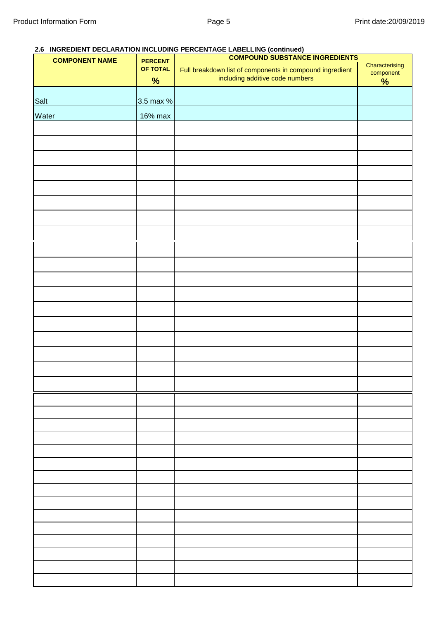### **2.6 INGREDIENT DECLARATION INCLUDING PERCENTAGE LABELLING (continued)**

| <b>COMPONENT NAME</b> | <b>COMPOUND SUBSTANCE INGREDIENTS</b><br><b>PERCENT</b> |                                                                                             |                             |
|-----------------------|---------------------------------------------------------|---------------------------------------------------------------------------------------------|-----------------------------|
|                       | OF TOTAL                                                | Full breakdown list of components in compound ingredient<br>including additive code numbers | Characterising<br>component |
|                       | $\%$                                                    |                                                                                             | $\frac{9}{6}$               |
|                       |                                                         |                                                                                             |                             |
| Salt                  | 3.5 max %                                               |                                                                                             |                             |
| Water                 | 16% max                                                 |                                                                                             |                             |
|                       |                                                         |                                                                                             |                             |
|                       |                                                         |                                                                                             |                             |
|                       |                                                         |                                                                                             |                             |
|                       |                                                         |                                                                                             |                             |
|                       |                                                         |                                                                                             |                             |
|                       |                                                         |                                                                                             |                             |
|                       |                                                         |                                                                                             |                             |
|                       |                                                         |                                                                                             |                             |
|                       |                                                         |                                                                                             |                             |
|                       |                                                         |                                                                                             |                             |
|                       |                                                         |                                                                                             |                             |
|                       |                                                         |                                                                                             |                             |
|                       |                                                         |                                                                                             |                             |
|                       |                                                         |                                                                                             |                             |
|                       |                                                         |                                                                                             |                             |
|                       |                                                         |                                                                                             |                             |
|                       |                                                         |                                                                                             |                             |
|                       |                                                         |                                                                                             |                             |
|                       |                                                         |                                                                                             |                             |
|                       |                                                         |                                                                                             |                             |
|                       |                                                         |                                                                                             |                             |
|                       |                                                         |                                                                                             |                             |
|                       |                                                         |                                                                                             |                             |
|                       |                                                         |                                                                                             |                             |
|                       |                                                         |                                                                                             |                             |
|                       |                                                         |                                                                                             |                             |
|                       |                                                         |                                                                                             |                             |
|                       |                                                         |                                                                                             |                             |
|                       |                                                         |                                                                                             |                             |
|                       |                                                         |                                                                                             |                             |
|                       |                                                         |                                                                                             |                             |
|                       |                                                         |                                                                                             |                             |
|                       |                                                         |                                                                                             |                             |
|                       |                                                         |                                                                                             |                             |
|                       |                                                         |                                                                                             |                             |
|                       |                                                         |                                                                                             |                             |
|                       |                                                         |                                                                                             |                             |
|                       |                                                         |                                                                                             |                             |
|                       |                                                         |                                                                                             |                             |
|                       |                                                         |                                                                                             |                             |
|                       |                                                         |                                                                                             |                             |
|                       |                                                         |                                                                                             |                             |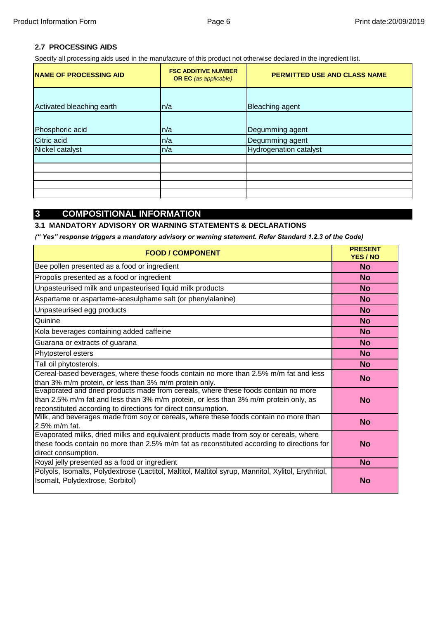### **2.7 PROCESSING AIDS**

Specify all processing aids used in the manufacture of this product not otherwise declared in the ingredient list.

| <b>NAME OF PROCESSING AID</b> | <b>FSC ADDITIVE NUMBER</b><br><b>OR EC</b> (as applicable) | PERMITTED USE AND CLASS NAME  |  |  |
|-------------------------------|------------------------------------------------------------|-------------------------------|--|--|
| Activated bleaching earth     | n/a                                                        | <b>Bleaching agent</b>        |  |  |
| Phosphoric acid               | n/a                                                        | Degumming agent               |  |  |
| Citric acid                   | n/a                                                        | Degumming agent               |  |  |
| Nickel catalyst               | n/a                                                        | <b>Hydrogenation catalyst</b> |  |  |
|                               |                                                            |                               |  |  |
|                               |                                                            |                               |  |  |
|                               |                                                            |                               |  |  |
|                               |                                                            |                               |  |  |
|                               |                                                            |                               |  |  |

### **3 COMPOSITIONAL INFORMATION**

#### **3.1 MANDATORY ADVISORY OR WARNING STATEMENTS & DECLARATIONS**

*(" Yes" response triggers a mandatory advisory or warning statement. Refer Standard 1.2.3 of the Code)*

| <b>FOOD / COMPONENT</b>                                                                                                                                                                                                                     | <b>PRESENT</b><br><b>YES / NO</b> |
|---------------------------------------------------------------------------------------------------------------------------------------------------------------------------------------------------------------------------------------------|-----------------------------------|
| Bee pollen presented as a food or ingredient                                                                                                                                                                                                | <b>No</b>                         |
| Propolis presented as a food or ingredient                                                                                                                                                                                                  | <b>No</b>                         |
| Unpasteurised milk and unpasteurised liquid milk products                                                                                                                                                                                   | <b>No</b>                         |
| Aspartame or aspartame-acesulphame salt (or phenylalanine)                                                                                                                                                                                  | <b>No</b>                         |
| Unpasteurised egg products                                                                                                                                                                                                                  | <b>No</b>                         |
| Quinine                                                                                                                                                                                                                                     | <b>No</b>                         |
| Kola beverages containing added caffeine                                                                                                                                                                                                    | <b>No</b>                         |
| Guarana or extracts of guarana                                                                                                                                                                                                              | <b>No</b>                         |
| Phytosterol esters                                                                                                                                                                                                                          | <b>No</b>                         |
| Tall oil phytosterols.                                                                                                                                                                                                                      | <b>No</b>                         |
| Cereal-based beverages, where these foods contain no more than 2.5% m/m fat and less<br>than 3% m/m protein, or less than 3% m/m protein only.                                                                                              | <b>No</b>                         |
| Evaporated and dried products made from cereals, where these foods contain no more<br>than 2.5% m/m fat and less than 3% m/m protein, or less than 3% m/m protein only, as<br>reconstituted according to directions for direct consumption. | <b>No</b>                         |
| Milk, and beverages made from soy or cereals, where these foods contain no more than<br>2.5% m/m fat.                                                                                                                                       | <b>No</b>                         |
| Evaporated milks, dried milks and equivalent products made from soy or cereals, where<br>these foods contain no more than 2.5% m/m fat as reconstituted according to directions for<br>direct consumption.                                  | <b>No</b>                         |
| Royal jelly presented as a food or ingredient                                                                                                                                                                                               | <b>No</b>                         |
| Polyols, Isomalts, Polydextrose (Lactitol, Maltitol, Maltitol syrup, Mannitol, Xylitol, Erythritol,<br>Isomalt, Polydextrose, Sorbitol)                                                                                                     | No                                |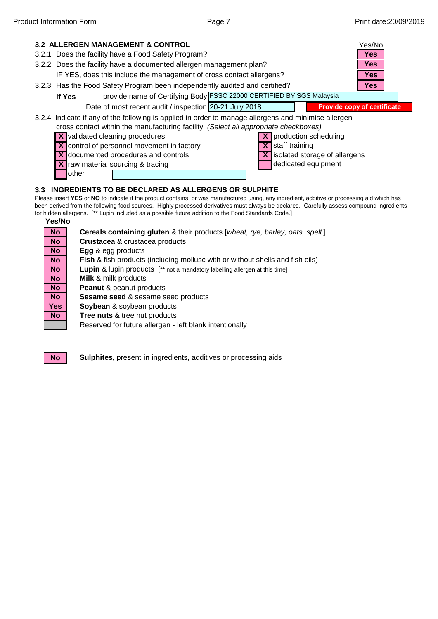

other

#### **3.3 INGREDIENTS TO BE DECLARED AS ALLERGENS OR SULPHITE**

**Yes/No** Please insert **YES** or **NO** to indicate if the product contains, or was manufactured using, any ingredient, additive or processing aid which has been derived from the following food sources. Highly processed derivatives must always be declared. Carefully assess compound ingredients for hidden allergens. [\*\* Lupin included as a possible future addition to the Food Standards Code.]

**No**

**No**

| <b>No</b>               | Cereals containing gluten & their products [wheat, rye, barley, oats, spelt]             |
|-------------------------|------------------------------------------------------------------------------------------|
| No                      | <b>Crustacea &amp; crustacea products</b>                                                |
| No                      | Egg & egg products                                                                       |
| $\overline{N}$          | <b>Fish &amp; fish products (including mollusc with or without shells and fish oils)</b> |
| $\overline{No}$         | <b>Lupin &amp; lupin products</b> [** not a mandatory labelling allergen at this time]   |
| $\overline{No}$         | <b>Milk &amp; milk products</b>                                                          |
| No                      | <b>Peanut &amp; peanut products</b>                                                      |
| No                      | Sesame seed & sesame seed products                                                       |
| $\overline{\text{Yes}}$ | Soybean & soybean products                                                               |
| <b>No</b>               | Tree nuts & tree nut products                                                            |
|                         | Reserved for future allergen - left blank intentionally                                  |
|                         |                                                                                          |

**Sulphites,** present **in** ingredients, additives or processing aids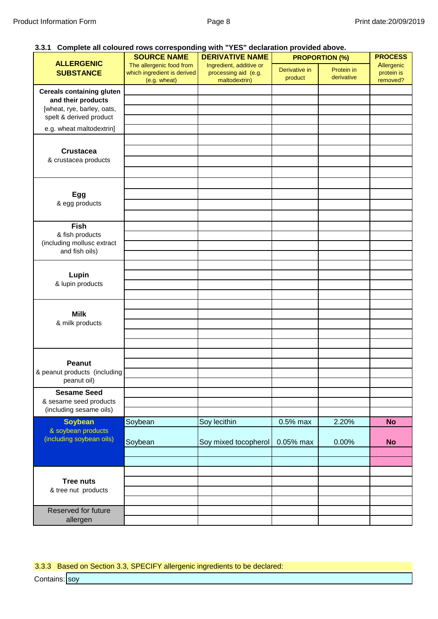#### **3.3.1 Complete all coloured rows corresponding with "YES" declaration provided above.**

| 0.0.1 Complete an ociourcu reno corresponding mail TEO Recitation previaca above.                               | <b>SOURCE NAME</b>                                                      | <b>DERIVATIVE NAME</b>                                           | <b>PROPORTION (%)</b>    |                          | <b>PROCESS</b>                       |
|-----------------------------------------------------------------------------------------------------------------|-------------------------------------------------------------------------|------------------------------------------------------------------|--------------------------|--------------------------|--------------------------------------|
| <b>ALLERGENIC</b><br><b>SUBSTANCE</b>                                                                           | The allergenic food from<br>which ingredient is derived<br>(e.g. wheat) | Ingredient, additive or<br>processing aid (e.g.<br>maltodextrin) | Derivative in<br>product | Protein in<br>derivative | Allergenic<br>protein is<br>removed? |
| <b>Cereals containing gluten</b><br>and their products<br>[wheat, rye, barley, oats,<br>spelt & derived product |                                                                         |                                                                  |                          |                          |                                      |
| e.g. wheat maltodextrin]                                                                                        |                                                                         |                                                                  |                          |                          |                                      |
| <b>Crustacea</b><br>& crustacea products                                                                        |                                                                         |                                                                  |                          |                          |                                      |
| Egg<br>& egg products                                                                                           |                                                                         |                                                                  |                          |                          |                                      |
| <b>Fish</b>                                                                                                     |                                                                         |                                                                  |                          |                          |                                      |
| & fish products<br>(including mollusc extract<br>and fish oils)                                                 |                                                                         |                                                                  |                          |                          |                                      |
| Lupin<br>& lupin products                                                                                       |                                                                         |                                                                  |                          |                          |                                      |
| <b>Milk</b><br>& milk products                                                                                  |                                                                         |                                                                  |                          |                          |                                      |
|                                                                                                                 |                                                                         |                                                                  |                          |                          |                                      |
| Peanut<br>& peanut products (including<br>peanut oil)                                                           |                                                                         |                                                                  |                          |                          |                                      |
| <b>Sesame Seed</b><br>& sesame seed products<br>(including sesame oils)                                         |                                                                         |                                                                  |                          |                          |                                      |
| <b>Soybean</b>                                                                                                  | Soybean                                                                 | Soy lecithin                                                     | 0.5% max                 | 2.20%                    | <b>No</b>                            |
| & soybean products<br>(including soybean oils)                                                                  | Soybean                                                                 | Soy mixed tocopherol                                             | 0.05% max                | 0.00%                    | <b>No</b>                            |
| <b>Tree nuts</b><br>& tree nut products                                                                         |                                                                         |                                                                  |                          |                          |                                      |
| Reserved for future<br>allergen                                                                                 |                                                                         |                                                                  |                          |                          |                                      |

3.3.3 Based on Section 3.3, SPECIFY allergenic ingredients to be declared:

Contains: <mark>I</mark>soy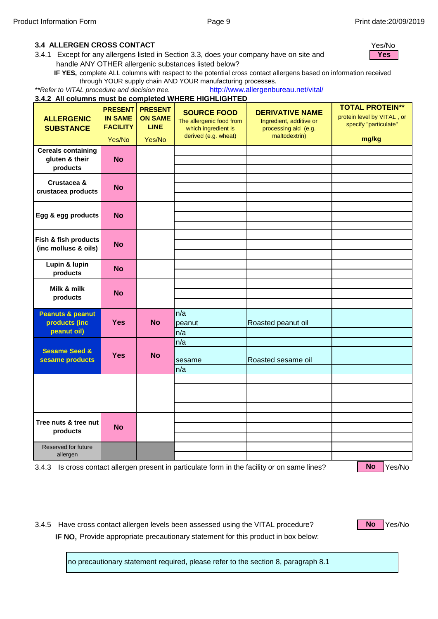#### **IF 3.4 ALLERGEN CROSS CONTACT** Yes/No

**N** 3.4.1 Except for any allergens listed in Section 3.3, does your company have on site and handle ANY OTHER allergenic substances listed below?

**IF YES,** complete ALL columns with respect to the potential cross contact allergens based on information received through YOUR supply chain AND YOUR manufacturing processes.

*\*\*Refer to VITAL procedure and decision tree.*  [http](http://www.allergenbureau.net/vital/)://www.allergenbureau.net/vital/

|                                                             |                                                               |                                                           | 3.4.2 All columns must be completed WHERE HIGHLIGHTED                                         |                                                                                            |                                                                                        |
|-------------------------------------------------------------|---------------------------------------------------------------|-----------------------------------------------------------|-----------------------------------------------------------------------------------------------|--------------------------------------------------------------------------------------------|----------------------------------------------------------------------------------------|
| <b>ALLERGENIC</b><br><b>SUBSTANCE</b>                       | <b>PRESENT</b><br><b>IN SAME</b><br><b>FACILITY</b><br>Yes/No | <b>PRESENT</b><br><b>ON SAME</b><br><b>LINE</b><br>Yes/No | <b>SOURCE FOOD</b><br>The allergenic food from<br>which ingredient is<br>derived (e.g. wheat) | <b>DERIVATIVE NAME</b><br>Ingredient, additive or<br>processing aid (e.g.<br>maltodextrin) | <b>TOTAL PROTEIN**</b><br>protein level by VITAL, or<br>specify "particulate"<br>mg/kg |
| <b>Cereals containing</b><br>gluten & their<br>products     | No                                                            |                                                           |                                                                                               |                                                                                            |                                                                                        |
| Crustacea &<br>crustacea products                           | <b>No</b>                                                     |                                                           |                                                                                               |                                                                                            |                                                                                        |
| Egg & egg products                                          | <b>No</b>                                                     |                                                           |                                                                                               |                                                                                            |                                                                                        |
| Fish & fish products<br>(inc mollusc & oils)                | <b>No</b>                                                     |                                                           |                                                                                               |                                                                                            |                                                                                        |
| Lupin & lupin<br>products                                   | No                                                            |                                                           |                                                                                               |                                                                                            |                                                                                        |
| Milk & milk<br>products                                     | No                                                            |                                                           |                                                                                               |                                                                                            |                                                                                        |
| <b>Peanuts &amp; peanut</b><br>products (inc<br>peanut oil) | <b>Yes</b>                                                    | <b>No</b>                                                 | n/a<br>peanut<br>n/a                                                                          | Roasted peanut oil                                                                         |                                                                                        |
| <b>Sesame Seed &amp;</b><br>sesame products                 | <b>Yes</b>                                                    | <b>No</b>                                                 | n/a<br>sesame<br>n/a                                                                          | Roasted sesame oil                                                                         |                                                                                        |
|                                                             |                                                               |                                                           |                                                                                               |                                                                                            |                                                                                        |
| Tree nuts & tree nut<br>products                            | <b>No</b>                                                     |                                                           |                                                                                               |                                                                                            |                                                                                        |
| Reserved for future<br>allergen                             |                                                               |                                                           |                                                                                               |                                                                                            |                                                                                        |

3.4.3 Is cross contact allergen present in particulate form in the facility or on same lines? No Yes/No

**No**

3.4.5 Have cross contact allergen levels been assessed using the VITAL procedure? No Nes/No **IF NO,** Provide appropriate precautionary statement for this product in box below:

**No**

no precautionary statement required, please refer to the section 8, paragraph 8.1

**Yes**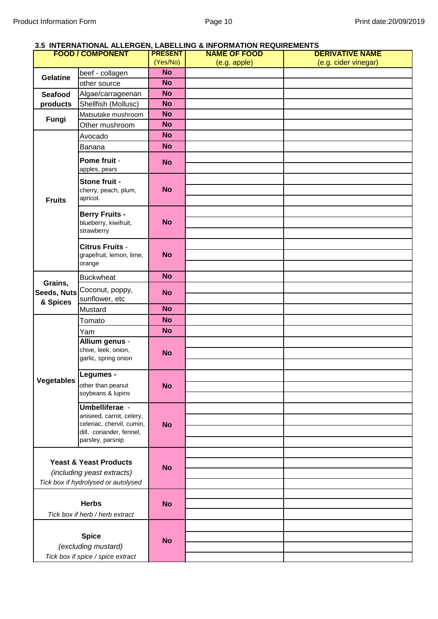#### **3.5 INTERNATIONAL ALLERGEN, LABELLING & INFORMATION REQUIREMENTS**

| <b>FOOD / COMPONENT</b>                                                                                       |                                                                                                       | <b>PRESENT</b> | <b>NAME OF FOOD</b> | <b>DERIVATIVE NAME</b> |
|---------------------------------------------------------------------------------------------------------------|-------------------------------------------------------------------------------------------------------|----------------|---------------------|------------------------|
|                                                                                                               |                                                                                                       | (Yes/No)       | (e.g. apple)        | (e.g. cider vinegar)   |
| <b>Gelatine</b>                                                                                               | beef - collagen                                                                                       | <b>No</b>      |                     |                        |
|                                                                                                               | other source                                                                                          | <b>No</b>      |                     |                        |
| Seafood                                                                                                       | Algae/carrageenan                                                                                     | <b>No</b>      |                     |                        |
| products                                                                                                      | Shellfish (Mollusc)                                                                                   | <b>No</b>      |                     |                        |
|                                                                                                               | Matsutake mushroom                                                                                    | <b>No</b>      |                     |                        |
| Fungi                                                                                                         | Other mushroom                                                                                        | <b>No</b>      |                     |                        |
|                                                                                                               | Avocado                                                                                               | <b>No</b>      |                     |                        |
|                                                                                                               | Banana                                                                                                | <b>No</b>      |                     |                        |
|                                                                                                               | Pome fruit -<br>apples, pears                                                                         | <b>No</b>      |                     |                        |
| <b>Fruits</b>                                                                                                 | Stone fruit -<br>cherry, peach, plum,<br>apricot.                                                     | <b>No</b>      |                     |                        |
|                                                                                                               | <b>Berry Fruits -</b><br>blueberry, kiwifruit,<br>strawberry                                          | <b>No</b>      |                     |                        |
|                                                                                                               | <b>Citrus Fruits -</b><br>grapefruit, lemon, lime,<br>orange                                          | <b>No</b>      |                     |                        |
|                                                                                                               | <b>Buckwheat</b>                                                                                      | <b>No</b>      |                     |                        |
| Grains,<br>Seeds, Nuts<br>& Spices                                                                            | Coconut, poppy,<br>sunflower, etc                                                                     | <b>No</b>      |                     |                        |
|                                                                                                               | Mustard                                                                                               | <b>No</b>      |                     |                        |
|                                                                                                               | Tomato                                                                                                | <b>No</b>      |                     |                        |
|                                                                                                               | Yam                                                                                                   | <b>No</b>      |                     |                        |
|                                                                                                               | Allium genus -                                                                                        |                |                     |                        |
|                                                                                                               | chive, leek, onion,<br>garlic, spring onion                                                           | <b>No</b>      |                     |                        |
| <b>Vegetables</b>                                                                                             | Legumes -<br>other than peanut<br>soybeans & lupins                                                   | <b>No</b>      |                     |                        |
|                                                                                                               | Umbelliferae -                                                                                        |                |                     |                        |
|                                                                                                               | aniseed, carrot, celery,<br>celeriac, chervil, cumin,<br>dill, coriander, fennel,<br>parsley, parsnip | <b>No</b>      |                     |                        |
|                                                                                                               |                                                                                                       |                |                     |                        |
| <b>Yeast &amp; Yeast Products</b><br><i>(including yeast extracts)</i><br>Tick box if hydrolysed or autolysed |                                                                                                       |                |                     |                        |
|                                                                                                               |                                                                                                       | <b>No</b>      |                     |                        |
|                                                                                                               |                                                                                                       |                |                     |                        |
|                                                                                                               |                                                                                                       |                |                     |                        |
| <b>Herbs</b>                                                                                                  |                                                                                                       |                |                     |                        |
|                                                                                                               |                                                                                                       | <b>No</b>      |                     |                        |
|                                                                                                               | Tick box if herb / herb extract                                                                       |                |                     |                        |
|                                                                                                               |                                                                                                       |                |                     |                        |
|                                                                                                               | <b>Spice</b>                                                                                          | <b>No</b>      |                     |                        |
|                                                                                                               | (excluding mustard)                                                                                   |                |                     |                        |
|                                                                                                               | Tick box if spice / spice extract                                                                     |                |                     |                        |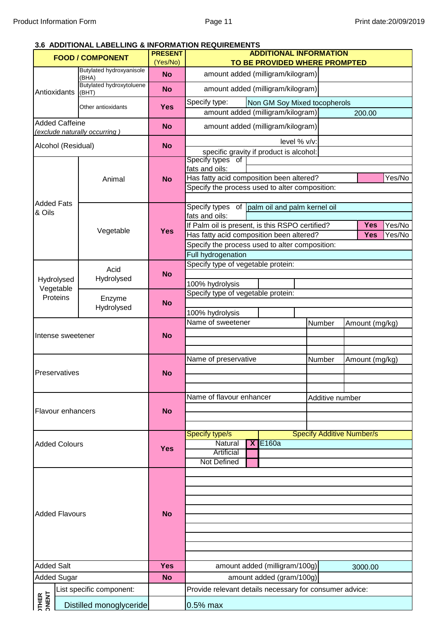#### **3.6 ADDITIONAL LABELLING & INFORMATION REQUIREMENTS**

|                         | <b>FOOD / COMPONENT</b>           | <b>PRESENT</b> |                                                                                            | <b>ADDITIONAL INFORMATION</b>                                     |                                  |                |        |  |  |
|-------------------------|-----------------------------------|----------------|--------------------------------------------------------------------------------------------|-------------------------------------------------------------------|----------------------------------|----------------|--------|--|--|
|                         |                                   | (Yes/No)       |                                                                                            | TO BE PROVIDED WHERE PROMPTED                                     |                                  |                |        |  |  |
|                         | Butylated hydroxyanisole<br>(BHA) | <b>No</b>      | amount added (milligram/kilogram)                                                          |                                                                   |                                  |                |        |  |  |
| Antioxidants            | Butylated hydroxytoluene<br>(BHT) | <b>No</b>      | amount added (milligram/kilogram)                                                          |                                                                   |                                  |                |        |  |  |
|                         | Other antioxidants                | <b>Yes</b>     | Specify type:                                                                              | Non GM Soy Mixed tocopherols<br>amount added (milligram/kilogram) |                                  |                |        |  |  |
| <b>Added Caffeine</b>   |                                   | <b>No</b>      | amount added (milligram/kilogram)                                                          |                                                                   |                                  | 200.00         |        |  |  |
|                         | (exclude naturally occurring)     |                |                                                                                            | level % v/v:                                                      |                                  |                |        |  |  |
| Alcohol (Residual)      |                                   | <b>No</b>      | specific gravity if product is alcohol:                                                    |                                                                   |                                  |                |        |  |  |
|                         |                                   |                | Specify types of<br>fats and oils:                                                         |                                                                   |                                  |                |        |  |  |
|                         | Animal                            | <b>No</b>      | Has fatty acid composition been altered?                                                   |                                                                   |                                  |                | Yes/No |  |  |
|                         |                                   |                | Specify the process used to alter composition:                                             |                                                                   |                                  |                |        |  |  |
| <b>Added Fats</b>       |                                   |                | Specify types of palm oil and palm kernel oil                                              |                                                                   |                                  |                |        |  |  |
| & Oils                  |                                   |                | fats and oils:                                                                             |                                                                   |                                  |                |        |  |  |
|                         | Vegetable                         | <b>Yes</b>     | If Palm oil is present, is this RSPO certified?                                            |                                                                   |                                  | <b>Yes</b>     | Yes/No |  |  |
|                         |                                   |                | Has fatty acid composition been altered?<br>Specify the process used to alter composition: |                                                                   |                                  | <b>Yes</b>     | Yes/No |  |  |
|                         |                                   |                | Full hydrogenation                                                                         |                                                                   |                                  |                |        |  |  |
|                         |                                   |                | Specify type of vegetable protein:                                                         |                                                                   |                                  |                |        |  |  |
|                         | Acid                              | <b>No</b>      |                                                                                            |                                                                   |                                  |                |        |  |  |
| Hydrolysed<br>Vegetable | Hydrolysed                        |                | 100% hydrolysis                                                                            |                                                                   |                                  |                |        |  |  |
| Proteins                | Enzyme                            |                | Specify type of vegetable protein:                                                         |                                                                   |                                  |                |        |  |  |
|                         | Hydrolysed                        | <b>No</b>      |                                                                                            |                                                                   |                                  |                |        |  |  |
|                         |                                   |                | 100% hydrolysis                                                                            |                                                                   |                                  |                |        |  |  |
|                         |                                   |                | Name of sweetener                                                                          |                                                                   | Number                           | Amount (mg/kg) |        |  |  |
| Intense sweetener       |                                   | <b>No</b>      |                                                                                            |                                                                   |                                  |                |        |  |  |
|                         |                                   |                |                                                                                            |                                                                   |                                  |                |        |  |  |
|                         |                                   |                | Name of preservative                                                                       |                                                                   | Number                           | Amount (mg/kg) |        |  |  |
| Preservatives           |                                   | <b>No</b>      |                                                                                            |                                                                   |                                  |                |        |  |  |
|                         |                                   |                |                                                                                            |                                                                   |                                  |                |        |  |  |
|                         |                                   |                | Name of flavour enhancer                                                                   |                                                                   | Additive number                  |                |        |  |  |
| Flavour enhancers       |                                   | <b>No</b>      |                                                                                            |                                                                   |                                  |                |        |  |  |
|                         |                                   |                |                                                                                            |                                                                   |                                  |                |        |  |  |
|                         |                                   |                | Specify type/s                                                                             |                                                                   | <b>Specify Additive Number/s</b> |                |        |  |  |
| <b>Added Colours</b>    |                                   |                | Natural                                                                                    | <b>X E160a</b>                                                    |                                  |                |        |  |  |
|                         |                                   | <b>Yes</b>     | <b>Artificial</b>                                                                          |                                                                   |                                  |                |        |  |  |
|                         |                                   |                | <b>Not Defined</b>                                                                         |                                                                   |                                  |                |        |  |  |
|                         |                                   |                |                                                                                            |                                                                   |                                  |                |        |  |  |
|                         |                                   |                |                                                                                            |                                                                   |                                  |                |        |  |  |
|                         |                                   |                |                                                                                            |                                                                   |                                  |                |        |  |  |
|                         |                                   |                |                                                                                            |                                                                   |                                  |                |        |  |  |
| <b>Added Flavours</b>   |                                   | <b>No</b>      |                                                                                            |                                                                   |                                  |                |        |  |  |
|                         |                                   |                |                                                                                            |                                                                   |                                  |                |        |  |  |
|                         |                                   |                |                                                                                            |                                                                   |                                  |                |        |  |  |
|                         |                                   |                |                                                                                            |                                                                   |                                  |                |        |  |  |
| <b>Added Salt</b>       |                                   | <b>Yes</b>     |                                                                                            | amount added (milligram/100g)<br>3000.00                          |                                  |                |        |  |  |
| <b>Added Sugar</b>      |                                   | <b>No</b>      |                                                                                            | amount added (gram/100g)                                          |                                  |                |        |  |  |
|                         | List specific component:          |                | Provide relevant details necessary for consumer advice:                                    |                                                                   |                                  |                |        |  |  |
| <b>TTHER<br/> NENT</b>  |                                   |                | $0.5%$ max                                                                                 |                                                                   |                                  |                |        |  |  |
|                         | Distilled monoglyceride           |                |                                                                                            |                                                                   |                                  |                |        |  |  |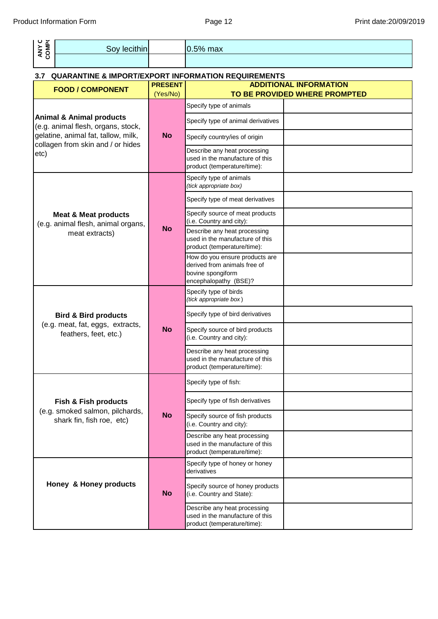| ICL INIONNAION FONN                                                       |                            | raye iz                                                                                                      | <b>FIIIII</b> Gale. ZU/USIZI                                   |
|---------------------------------------------------------------------------|----------------------------|--------------------------------------------------------------------------------------------------------------|----------------------------------------------------------------|
| ANY C<br>COMPK<br>Soy lecithin                                            |                            | $0.5%$ max                                                                                                   |                                                                |
|                                                                           |                            |                                                                                                              |                                                                |
| 3.7                                                                       |                            | <b>QUARANTINE &amp; IMPORT/EXPORT INFORMATION REQUIREMENTS</b>                                               |                                                                |
| <b>FOOD / COMPONENT</b>                                                   | <b>PRESENT</b><br>(Yes/No) |                                                                                                              | <b>ADDITIONAL INFORMATION</b><br>TO BE PROVIDED WHERE PROMPTED |
|                                                                           |                            | Specify type of animals                                                                                      |                                                                |
| <b>Animal &amp; Animal products</b><br>(e.g. animal flesh, organs, stock, |                            | Specify type of animal derivatives                                                                           |                                                                |
| gelatine, animal fat, tallow, milk,                                       | <b>No</b>                  | Specify country/ies of origin                                                                                |                                                                |
| collagen from skin and / or hides<br>etc)                                 |                            | Describe any heat processing<br>used in the manufacture of this<br>product (temperature/time):               |                                                                |
|                                                                           |                            | Specify type of animals<br>(tick appropriate box)                                                            |                                                                |
|                                                                           |                            | Specify type of meat derivatives                                                                             |                                                                |
| <b>Meat &amp; Meat products</b><br>(e.g. animal flesh, animal organs,     |                            | Specify source of meat products<br>(i.e. Country and city):                                                  |                                                                |
| meat extracts)                                                            | <b>No</b>                  | Describe any heat processing<br>used in the manufacture of this<br>product (temperature/time):               |                                                                |
|                                                                           |                            | How do you ensure products are<br>derived from animals free of<br>bovine spongiform<br>encephalopathy (BSE)? |                                                                |
|                                                                           |                            | Specify type of birds<br>(tick appropriate box)                                                              |                                                                |
| <b>Bird &amp; Bird products</b>                                           |                            | Specify type of bird derivatives                                                                             |                                                                |
| (e.g. meat, fat, eggs, extracts,<br>feathers, feet, etc.)                 | <b>No</b>                  | Specify source of bird products<br>(i.e. Country and city):                                                  |                                                                |
|                                                                           |                            | Describe any heat processing<br>used in the manufacture of this<br>product (temperature/time):               |                                                                |
|                                                                           |                            | Specify type of fish:                                                                                        |                                                                |
| <b>Fish &amp; Fish products</b>                                           |                            | Specify type of fish derivatives                                                                             |                                                                |
| (e.g. smoked salmon, pilchards,<br>shark fin, fish roe, etc)              | <b>No</b>                  | Specify source of fish products<br>(i.e. Country and city):                                                  |                                                                |
|                                                                           |                            | Describe any heat processing<br>used in the manufacture of this<br>product (temperature/time):               |                                                                |
|                                                                           |                            | Specify type of honey or honey<br>derivatives                                                                |                                                                |
| Honey & Honey products                                                    | <b>No</b>                  | Specify source of honey products<br>(i.e. Country and State):                                                |                                                                |
|                                                                           |                            | Describe any heat processing<br>used in the manufacture of this<br>product (temperature/time):               |                                                                |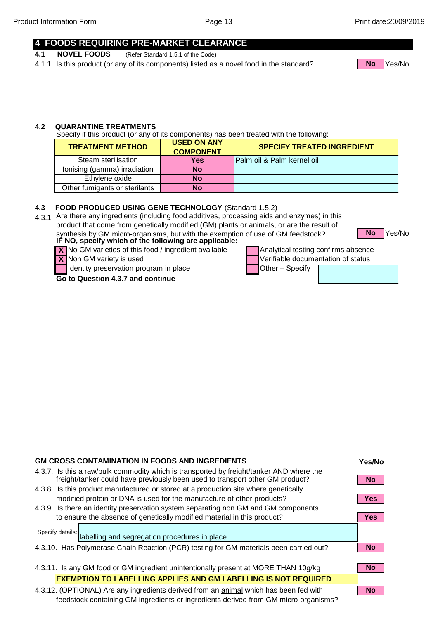#### **4 FOODS REQUIRING PRE-MARKET CLEARANCE**

- **4.1 NOVEL FOODS** (Refer Standard 1.5.1 of the Code)
- 4.1.1 Is this product (or any of its components) listed as a novel food in the standard? No Nes/No



#### **4.2 QUARANTINE TREATMENTS**

Specify if this product (or any of its components) has been treated with the following:

| <b>TREATMENT METHOD</b>       | <b>USED ON ANY</b><br><b>COMPONENT</b> | <b>SPECIFY TREATED INGREDIENT</b> |
|-------------------------------|----------------------------------------|-----------------------------------|
| Steam sterilisation           | <b>Yes</b>                             | Palm oil & Palm kernel oil        |
| lonising (gamma) irradiation  | No                                     |                                   |
| Ethylene oxide                | No                                     |                                   |
| Other fumigants or sterilants | No                                     |                                   |

#### **4.3 FOOD PRODUCED USING GENE TECHNOLOGY** (Standard 1.5.2)

4.3.1 Are there any ingredients (including food additives, processing aids and enzymes) in this product that come from genetically modified (GM) plants or animals, or are the result of synthesis by GM micro-organisms, but with the exemption of use of GM feedstock?

Yes/No **No**

IF NO, specify which of the following are applicable: **IF NO, specify which of the following are applicable: X** No GM varieties of this food / ingredient available

**X** Non GM variety is used

Identity preservation program in place

**Go to Question 4.3.7 and continue** 

| Analytical testing confirms absence |  |
|-------------------------------------|--|
| Verifiable documentation of status  |  |
| <b>Other</b> – Specify              |  |
|                                     |  |



| <b>GM CROSS CONTAMINATION IN FOODS AND INGREDIENTS</b>                                                                                                                       | Yes/No     |
|------------------------------------------------------------------------------------------------------------------------------------------------------------------------------|------------|
| 4.3.7. Is this a raw/bulk commodity which is transported by freight/tanker AND where the<br>freight/tanker could have previously been used to transport other GM product?    | No.        |
| 4.3.8. Is this product manufactured or stored at a production site where genetically                                                                                         |            |
| modified protein or DNA is used for the manufacture of other products?                                                                                                       | <b>Yes</b> |
| 4.3.9. Is there an identity preservation system separating non GM and GM components                                                                                          |            |
| to ensure the absence of genetically modified material in this product?                                                                                                      | Yes:       |
| Specify details:<br>labelling and segregation procedures in place                                                                                                            |            |
| 4.3.10. Has Polymerase Chain Reaction (PCR) testing for GM materials been carried out?                                                                                       | <b>No</b>  |
|                                                                                                                                                                              |            |
| 4.3.11. Is any GM food or GM ingredient unintentionally present at MORE THAN 10g/kg                                                                                          | <b>No</b>  |
| <b>EXEMPTION TO LABELLING APPLIES AND GM LABELLING IS NOT REQUIRED</b>                                                                                                       |            |
| 4.3.12. (OPTIONAL) Are any ingredients derived from an animal which has been fed with<br>feedstock containing GM ingredients or ingredients derived from GM micro-organisms? | No l       |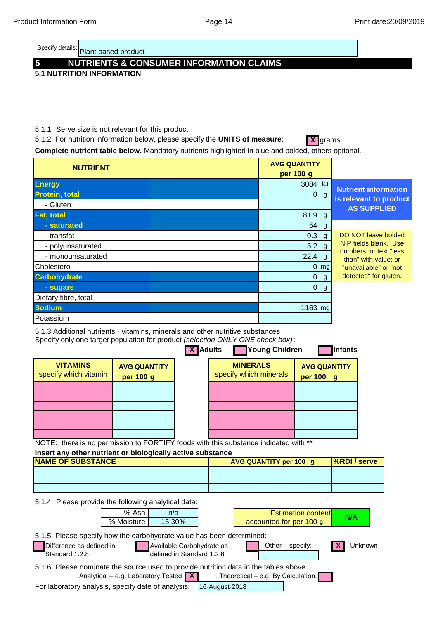Plant based product Specify details:

# **5 NUTRIENTS & CONSUMER INFORMATION CLAIMS**

**5.1 NUTRITION INFORMATION**

#### 5.1.1 Serve size is not relevant for this product.

5.1.2 For nutrition information below, please specify the **UNITS of measure:** X grams

Complete nutrient table below. Mandatory nutrients highlighted in blue and bolded, others optional.

| <b>NUTRIENT</b>       | <b>AVG QUANTITY</b><br>per 100 g                                       |
|-----------------------|------------------------------------------------------------------------|
| <b>Energy</b>         | 3084 kJ                                                                |
| <b>Protein, total</b> | <b>Nutrient information</b><br>$0 \text{ g}$<br>is relevant to product |
| - Gluten              | <b>AS SUPPLIED</b>                                                     |
| <b>Fat, total</b>     | 81.9 g                                                                 |
| - saturated           | 54 g                                                                   |
| - transfat            | DO NOT leave bolded<br>$0.3$ g                                         |
| - polyunsaturated     | NIP fields blank. Use<br>$5.2$ g                                       |
| - monounsaturated     | numbers, or text "less<br>$22.4$ g<br>than" with value; or             |
| Cholesterol           | $0 \, \text{mg}$<br>"unavailable" or "not                              |
| <b>Carbohydrate</b>   | detected" for gluten.<br>$0 \text{ g}$                                 |
| - sugars              | $\Omega$<br>g                                                          |
| Dietary fibre, total  |                                                                        |
| <b>Sodium</b>         | 1163 mg                                                                |
| Potassium             |                                                                        |

5.1.3 Additional nutrients - vitamins, minerals and other nutritive substances

Specify only one target population for product *(selection ONLY ONE check box)* :

|                                                                                                                         |                                  | <b>X</b> Adults | Young Children                            | <b>Infants</b>                             |
|-------------------------------------------------------------------------------------------------------------------------|----------------------------------|-----------------|-------------------------------------------|--------------------------------------------|
| <b>VITAMINS</b><br>specify which vitamin                                                                                | <b>AVG QUANTITY</b><br>per 100 g |                 | <b>MINERALS</b><br>specify which minerals | <b>AVG QUANTITY</b><br>per 100<br><b>g</b> |
|                                                                                                                         |                                  |                 |                                           |                                            |
|                                                                                                                         |                                  |                 |                                           |                                            |
|                                                                                                                         |                                  |                 |                                           |                                            |
|                                                                                                                         |                                  |                 |                                           |                                            |
|                                                                                                                         |                                  |                 |                                           |                                            |
|                                                                                                                         |                                  |                 |                                           |                                            |
| $N$ $\cap$ TE: there is no normalization to $\Gamma$ $\cap$ DTIEV foods with this substance indicated with $\star\star$ |                                  |                 |                                           |                                            |

NOTE: there is no permission to FORTIFY foods with this substance indicated with \*\*

### **Insert any other nutrient or biologically active substance**

| <b>NAME OF SUBSTANCE</b> | <b>AVG QUANTITY per 100 g</b> | <b>S</b> <i>S</i> <b>S</b> |
|--------------------------|-------------------------------|----------------------------|
|                          |                               |                            |
|                          |                               |                            |
|                          |                               |                            |

5.1.4 Please provide the following analytical data:

|                                                                                                                                           | % Ash<br>% Moisture | n/a<br>15.30%                                            |                |                                      | <b>Estimation contentl</b><br>accounted for per 100 g | N/A     |  |
|-------------------------------------------------------------------------------------------------------------------------------------------|---------------------|----------------------------------------------------------|----------------|--------------------------------------|-------------------------------------------------------|---------|--|
| 5.1.5 Please specify how the carbohydrate value has been determined:<br>Difference as defined in<br>Standard 1.2.8                        |                     | Available Carbohydrate as<br>defined in Standard 1.2.8   |                |                                      | Other - specify:                                      | Unknown |  |
| 5.1.6 Please nominate the source used to provide nutrition data in the tables above<br>For laboratory analysis, specify date of analysis: |                     | Analytical – e.g. Laboratory Tested $\boxed{\mathbf{X}}$ | 16-August-2018 | Theoretical $-$ e.g. By Calculation. |                                                       |         |  |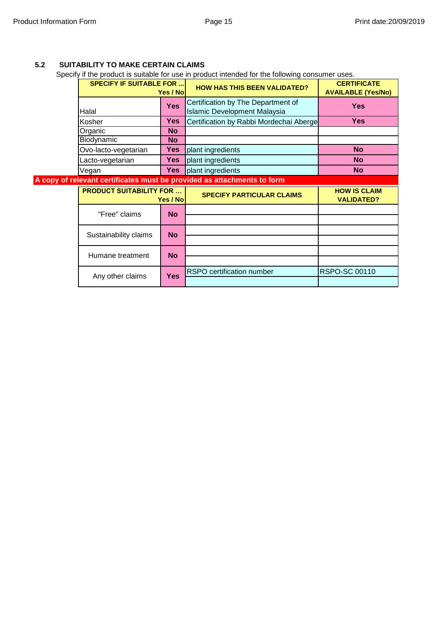#### **5.2 SUITABILITY TO MAKE CERTAIN CLAIMS**

Any other claims

Specify if the product is suitable for use in product intended for the following consumer uses.

|                                 |            | poon , in the product to culturity for doo in product interiged for the following concurrier doce. |                                                 |
|---------------------------------|------------|----------------------------------------------------------------------------------------------------|-------------------------------------------------|
| <b>SPECIFY IF SUITABLE FOR </b> | Yes / Nol  | <b>HOW HAS THIS BEEN VALIDATED?</b>                                                                | <b>CERTIFICATE</b><br><b>AVAILABLE (Yes/No)</b> |
| Halal                           | <b>Yes</b> | Certification by The Department of<br><b>Islamic Development Malaysia</b>                          | <b>Yes</b>                                      |
| Kosher                          | <b>Yes</b> | Certification by Rabbi Mordechai Aberge                                                            | <b>Yes</b>                                      |
| Organic                         | <b>No</b>  |                                                                                                    |                                                 |
| Biodynamic                      | <b>No</b>  |                                                                                                    |                                                 |
| Ovo-lacto-vegetarian            | <b>Yes</b> | plant ingredients                                                                                  | <b>No</b>                                       |
| Lacto-vegetarian                | Yes        | plant ingredients                                                                                  | <b>No</b>                                       |
| Vegan                           | Yes        | plant ingredients                                                                                  | <b>No</b>                                       |
|                                 |            | A copy of relevant certificates must be provided as attachments to form                            |                                                 |
| <b>PRODUCT SUITABILITY FOR </b> | Yes / Nol  | <b>SPECIFY PARTICULAR CLAIMS</b>                                                                   | <b>HOW IS CLAIM</b><br><b>VALIDATED?</b>        |
| "Free" claims                   | <b>No</b>  |                                                                                                    |                                                 |
| Sustainability claims           | <b>No</b>  |                                                                                                    |                                                 |
| Humane treatment                | <b>No</b>  |                                                                                                    |                                                 |

**Yes** RSPO certification number RSPO-SC 00110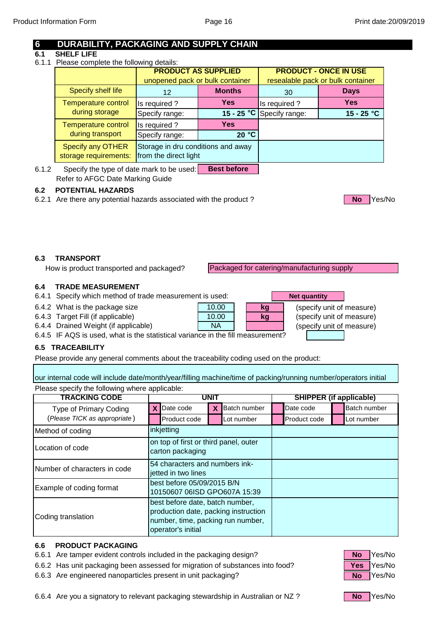### **6 DURABILITY, PACKAGING AND SUPPLY CHAIN**

#### **6.1 SHELF LIFE**

6.1.1 Please complete the following details:

|                                                   | <b>PRODUCT AS SUPPLIED</b><br>unopened pack or bulk container |               | <b>PRODUCT - ONCE IN USE</b><br>resealable pack or bulk container |              |  |
|---------------------------------------------------|---------------------------------------------------------------|---------------|-------------------------------------------------------------------|--------------|--|
| Specify shelf life                                | 12                                                            | <b>Months</b> | 30                                                                | <b>Days</b>  |  |
| <b>Temperature control</b>                        | Is required?                                                  | <b>Yes</b>    | Is required?                                                      | <b>Yes</b>   |  |
| during storage                                    | Specify range:                                                | $15 - 25 °C$  | Specify range:                                                    | $15 - 25 °C$ |  |
| <b>Temperature control</b>                        | Is required?                                                  | <b>Yes</b>    |                                                                   |              |  |
| during transport                                  | Specify range:                                                | 20 °C         |                                                                   |              |  |
| <b>Specify any OTHER</b><br>storage requirements: | Storage in dru conditions and away<br>from the direct light   |               |                                                                   |              |  |

6.1.2 Specify the type of date mark to be used: Refer to AFGC Date Marking Guide **Best before**

#### **6.2 POTENTIAL HAZARDS**

6.2.1 Are there any potential hazards associated with the product ? **No Are the State of Area** Yes/No



#### **6.3 TRANSPORT**

How is product transported and packaged?

Packaged for catering/manufacturing supply

**Net quantity**

**kg**

**kg**

#### **6.4 TRADE MEASUREMENT**

- 6.4.1 Specify which method of trade measurement is used:
- 6.4.2 What is the package size **contained a size contained in the set of specify unit of measure)**
- 6.4.3 Target Fill (if applicable) **COVERT 10.00 COVERTS** (specify unit of measure)
- 6.4.4 Drained Weight (if applicable) **COVID-NOVED WALL COVID-SET (Specify unit of measure)**

6.4.5 IF AQS is used, what is the statistical variance in the fill measurement?

#### **6.5 TRACEABILITY**

Please provide any general comments about the traceability coding used on the product:

Please specify the following where applicable: our internal code will include date/month/year/filling machine/time of packing/running number/operators initial

10.00

10.00

NA

| <b>TRACKING CODE</b>          |                                                            | UNI 1                                                                                                                              |   |                     |  | <b>SHIPPER (if applicable)</b> |              |
|-------------------------------|------------------------------------------------------------|------------------------------------------------------------------------------------------------------------------------------------|---|---------------------|--|--------------------------------|--------------|
| <b>Type of Primary Coding</b> |                                                            | <b>X</b> Date code                                                                                                                 | X | <b>Batch number</b> |  | Date code                      | Batch number |
| (Please TICK as appropriate)  |                                                            | Product code                                                                                                                       |   | Lot number          |  | Product code                   | Lot number   |
| Method of coding              |                                                            | inkjetting                                                                                                                         |   |                     |  |                                |              |
| Location of code              |                                                            | on top of first or third panel, outer<br>carton packaging                                                                          |   |                     |  |                                |              |
| Number of characters in code  |                                                            | 54 characters and numbers ink-<br>jetted in two lines                                                                              |   |                     |  |                                |              |
| Example of coding format      | best before 05/09/2015 B/N<br>10150607 06ISD GPO607A 15:39 |                                                                                                                                    |   |                     |  |                                |              |
| Coding translation            |                                                            | best before date, batch number,<br>production date, packing instruction<br>number, time, packing run number,<br>operator's initial |   |                     |  |                                |              |

#### **6.6 PRODUCT PACKAGING**

- 6.6.1 Are tamper evident controls included in the packaging design? No **No** Yes/No
- 6.6.2 Has unit packaging been assessed for migration of substances into food? **Yes** Yes/No
- 6.6.3 Are engineered nanoparticles present in unit packaging? No Wes/No Yes/No



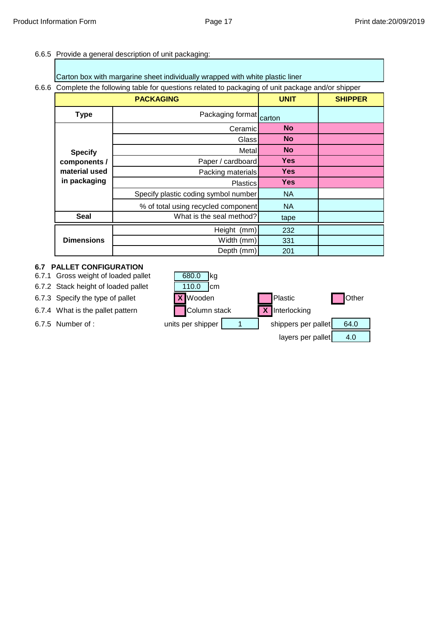#### 6.6.5 Provide a general description of unit packaging:

|  |  | Carton box with margarine sheet individually wrapped with white plastic liner |  |
|--|--|-------------------------------------------------------------------------------|--|
|--|--|-------------------------------------------------------------------------------|--|

#### 6.6.6 Complete the following table for questions related to packaging of unit package and/or shipper

|                                               | <b>PACKAGING</b>                     | <b>UNIT</b> | <b>SHIPPER</b> |
|-----------------------------------------------|--------------------------------------|-------------|----------------|
| <b>Type</b>                                   | Packaging format                     | carton      |                |
|                                               | Ceramicl                             | <b>No</b>   |                |
|                                               | Glass                                | <b>No</b>   |                |
| <b>Specify</b>                                | Metall                               | <b>No</b>   |                |
| components /<br>material used<br>in packaging | Paper / cardboard                    | <b>Yes</b>  |                |
|                                               | Packing materials                    | <b>Yes</b>  |                |
|                                               | <b>Plastics</b>                      | <b>Yes</b>  |                |
|                                               | Specify plastic coding symbol number | <b>NA</b>   |                |
|                                               | % of total using recycled component  | <b>NA</b>   |                |
| <b>Seal</b>                                   | What is the seal method?             | tape        |                |
|                                               | Height (mm)                          | 232         |                |
| <b>Dimensions</b>                             | Width (mm)                           | 331         |                |
|                                               | Depth (mm)                           | 201         |                |

#### **6.7 PALLET CONFIGURATION**

- 6.7.1 Gross weight of loaded pallet
- 6.7.2 Stack height of loaded pallet 110.0 cm
- 
- 
- 

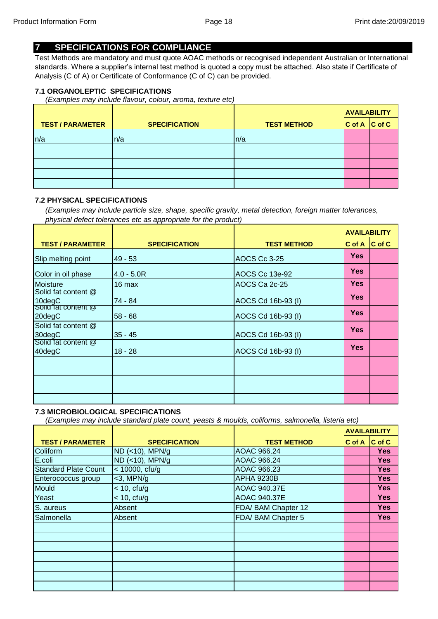### **7 SPECIFICATIONS FOR COMPLIANCE**

Test Methods are mandatory and must quote AOAC methods or recognised independent Australian or International standards. Where a supplier's internal test method is quoted a copy must be attached. Also state if Certificate of Analysis (C of A) or Certificate of Conformance (C of C) can be provided.

#### **7.1 ORGANOLEPTIC SPECIFICATIONS**

*(Examples may include flavour, colour, aroma, texture etc)*

|                         |                      |                    | <b>AVAILABILITY</b> |                    |
|-------------------------|----------------------|--------------------|---------------------|--------------------|
| <b>TEST / PARAMETER</b> | <b>SPECIFICATION</b> | <b>TEST METHOD</b> | $ C \text{ of } A $ | $ C \text{ of } C$ |
| n/a                     | n/a                  | ln/a               |                     |                    |
|                         |                      |                    |                     |                    |
|                         |                      |                    |                     |                    |
|                         |                      |                    |                     |                    |
|                         |                      |                    |                     |                    |

#### **7.2 PHYSICAL SPECIFICATIONS**

*(Examples may include particle size, shape, specific gravity, metal detection, foreign matter tolerances, physical defect tolerances etc as appropriate for the product)*

|                               |                      |                    | <b>AVAILABILITY</b> |                     |
|-------------------------------|----------------------|--------------------|---------------------|---------------------|
| <b>TEST / PARAMETER</b>       | <b>SPECIFICATION</b> | <b>TEST METHOD</b> | C of A              | $ C \text{ of } C $ |
| Slip melting point            | $49 - 53$            | AOCS Cc 3-25       | <b>Yes</b>          |                     |
| Color in oil phase            | $4.0 - 5.0R$         | AOCS Cc 13e-92     | <b>Yes</b>          |                     |
| <b>Moisture</b>               | 16 max               | AOCS Ca 2c-25      | <b>Yes</b>          |                     |
| Solid fat content @<br>10degC | 74 - 84              | AOCS Cd 16b-93 (I) | <b>Yes</b>          |                     |
| solid fat content @<br>20degC | $58 - 68$            | AOCS Cd 16b-93 (I) | <b>Yes</b>          |                     |
| Solid fat content @<br>30degC | $35 - 45$            | AOCS Cd 16b-93 (I) | <b>Yes</b>          |                     |
| Solid fat content @<br>40degC | 18 - 28              | AOCS Cd 16b-93 (I) | <b>Yes</b>          |                     |
|                               |                      |                    |                     |                     |
|                               |                      |                    |                     |                     |
|                               |                      |                    |                     |                     |

#### **7.3 MICROBIOLOGICAL SPECIFICATIONS**

*(Examples may include standard plate count, yeasts & moulds, coliforms, salmonella, listeria etc)*

|                             |                      |                     | <b>AVAILABILITY</b> |                    |
|-----------------------------|----------------------|---------------------|---------------------|--------------------|
| <b>TEST / PARAMETER</b>     | <b>SPECIFICATION</b> | <b>TEST METHOD</b>  | C of A              | $ C \text{ of } C$ |
| Coliform                    | ND (<10), MPN/g      | AOAC 966.24         |                     | <b>Yes</b>         |
| E.coli                      | ND (<10), MPN/g      | AOAC 966.24         |                     | <b>Yes</b>         |
| <b>Standard Plate Count</b> | $<$ 10000, cfu/g     | AOAC 966.23         |                     | <b>Yes</b>         |
| Enterococcus group          | $<$ 3, MPN/g         | <b>APHA 9230B</b>   |                     | <b>Yes</b>         |
| Mould                       | $<$ 10, cfu/g        | <b>AOAC 940.37E</b> |                     | <b>Yes</b>         |
| Yeast                       | $<$ 10, cfu/g        | <b>AOAC 940.37E</b> |                     | <b>Yes</b>         |
| S. aureus                   | Absent               | FDA/ BAM Chapter 12 |                     | <b>Yes</b>         |
| Salmonella                  | Absent               | FDA/ BAM Chapter 5  |                     | <b>Yes</b>         |
|                             |                      |                     |                     |                    |
|                             |                      |                     |                     |                    |
|                             |                      |                     |                     |                    |
|                             |                      |                     |                     |                    |
|                             |                      |                     |                     |                    |
|                             |                      |                     |                     |                    |
|                             |                      |                     |                     |                    |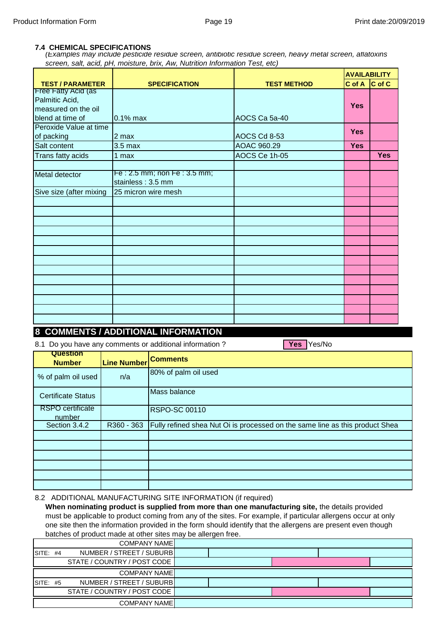#### **7.4 CHEMICAL SPECIFICATIONS**

*(Examples may include pesticide residue screen, antibiotic residue screen, heavy metal screen, aflatoxins screen, salt, acid, pH, moisture, brix, Aw, Nutrition Information Test, etc)* 

|                            |                             |                    | <b>AVAILABILITY</b> |            |
|----------------------------|-----------------------------|--------------------|---------------------|------------|
| <b>TEST / PARAMETER</b>    | <b>SPECIFICATION</b>        | <b>TEST METHOD</b> | $C$ of A $ C$ of C  |            |
| <b>Free Fatty Acid (as</b> |                             |                    |                     |            |
| Palmitic Acid,             |                             |                    | <b>Yes</b>          |            |
| measured on the oil        |                             |                    |                     |            |
| blend at time of           | $0.1\%$ max                 | AOCS Ca 5a-40      |                     |            |
| Peroxide Value at time     |                             |                    | <b>Yes</b>          |            |
| of packing                 | 2 max                       | AOCS Cd 8-53       |                     |            |
| Salt content               | 3.5 <sub>max</sub>          | AOAC 960.29        | <b>Yes</b>          |            |
| Trans fatty acids          | 1 max                       | AOCS Ce 1h-05      |                     | <b>Yes</b> |
|                            |                             |                    |                     |            |
| Metal detector             | Fe: 2.5 mm; non Fe: 3.5 mm; |                    |                     |            |
|                            | stainless: 3.5 mm           |                    |                     |            |
| Sive size (after mixing    | 25 micron wire mesh         |                    |                     |            |
|                            |                             |                    |                     |            |
|                            |                             |                    |                     |            |
|                            |                             |                    |                     |            |
|                            |                             |                    |                     |            |
|                            |                             |                    |                     |            |
|                            |                             |                    |                     |            |
|                            |                             |                    |                     |            |
|                            |                             |                    |                     |            |
|                            |                             |                    |                     |            |
|                            |                             |                    |                     |            |
|                            |                             |                    |                     |            |
|                            |                             |                    |                     |            |
|                            |                             |                    |                     |            |

### **8 COMMENTS / ADDITIONAL INFORMATION**

8.1 Do you have any comments or additional information?

| <b>Question</b><br><b>Number</b> | <b>Line Number</b> | <b>Comments</b>                                                              |
|----------------------------------|--------------------|------------------------------------------------------------------------------|
| % of palm oil used               | n/a                | 80% of palm oil used                                                         |
| <b>Certificate Status</b>        |                    | Mass balance                                                                 |
| RSPO certificate<br>number       |                    | <b>RSPO-SC 00110</b>                                                         |
| Section 3.4.2                    | R360 - 363         | Fully refined shea Nut Oi is processed on the same line as this product Shea |
|                                  |                    |                                                                              |
|                                  |                    |                                                                              |
|                                  |                    |                                                                              |
|                                  |                    |                                                                              |
|                                  |                    |                                                                              |
|                                  |                    |                                                                              |

Yes Yes/No

#### 8.2 ADDITIONAL MANUFACTURING SITE INFORMATION (if required)

**When nominating product is supplied from more than one manufacturing site,** the details provided must be applicable to product coming from any of the sites. For example, if particular allergens occur at only one site then the information provided in the form should identify that the allergens are present even though batches of product made at other sites may be allergen free.

|            | <b>Datonoo or product made at other pitco may be allorgen hoor</b> |  |  |  |
|------------|--------------------------------------------------------------------|--|--|--|
|            | <b>COMPANY NAMEL</b>                                               |  |  |  |
| SITE: $#4$ | NUMBER / STREET / SUBURB                                           |  |  |  |
|            | STATE / COUNTRY / POST CODE                                        |  |  |  |
|            | <b>COMPANY NAMEL</b>                                               |  |  |  |
| SITE: #5   | NUMBER / STREET / SUBURB                                           |  |  |  |
|            | STATE / COUNTRY / POST CODE                                        |  |  |  |
|            | <b>COMPANY NAMEL</b>                                               |  |  |  |